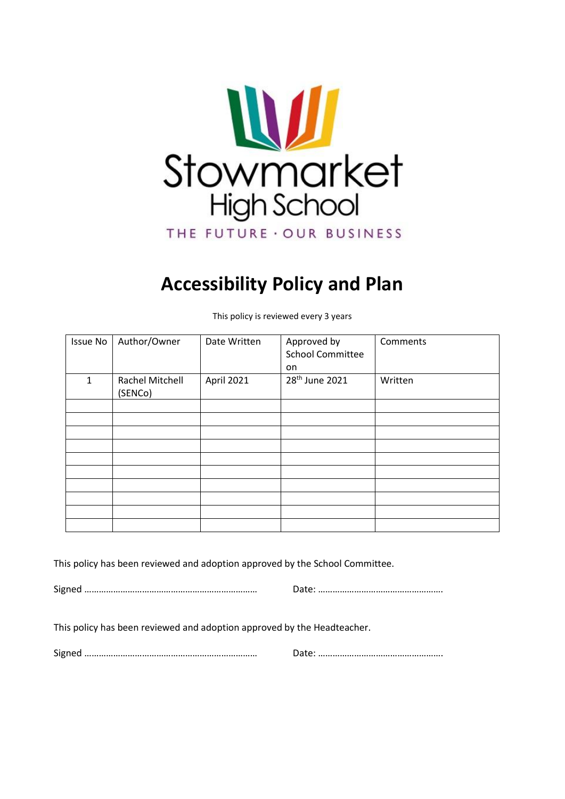

# **Accessibility Policy and Plan**

Issue No | Author/Owner | Date Written | Approved by School Committee on **Comments** 1 Rachel Mitchell (SENCo) April 2021 28<sup>th</sup> June 2021 Written

This policy is reviewed every 3 years

This policy has been reviewed and adoption approved by the School Committee.

Signed ……………………………………………………………… Date: …………………………………………….

This policy has been reviewed and adoption approved by the Headteacher.

Signed ……………………………………………………………… Date: …………………………………………….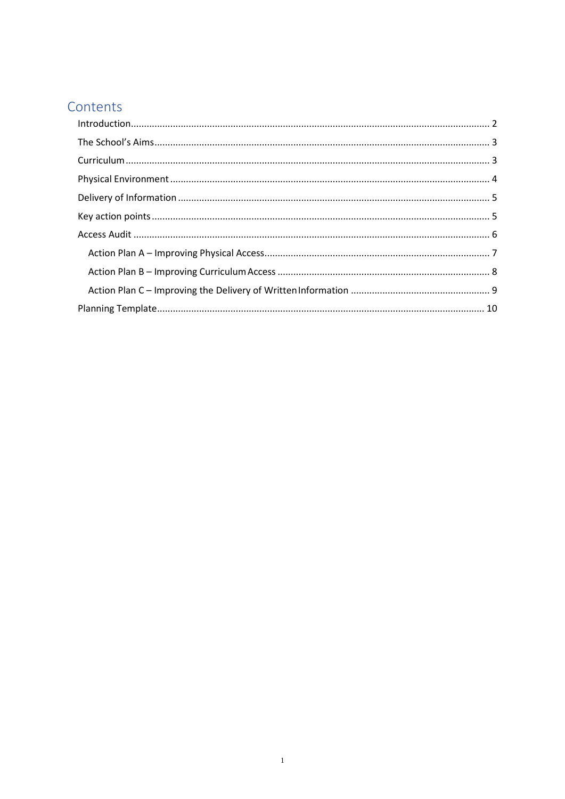# Contents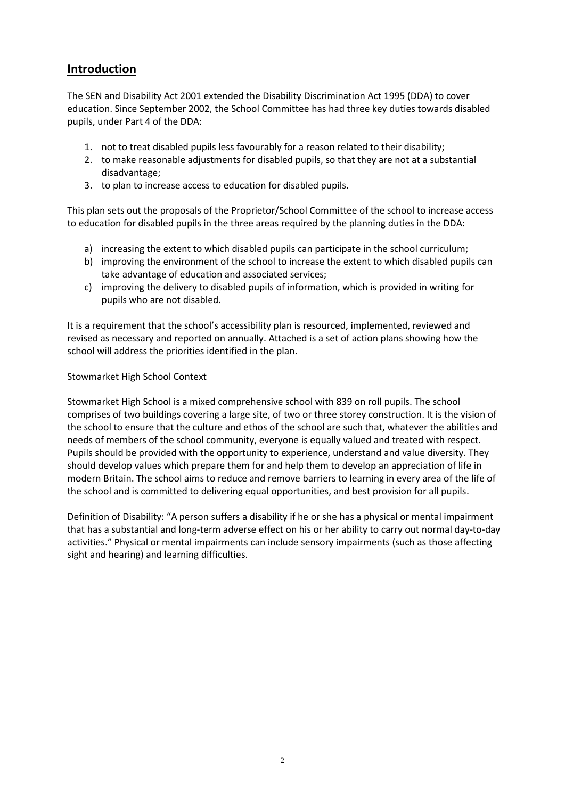### <span id="page-2-0"></span>**Introduction**

The SEN and Disability Act 2001 extended the Disability Discrimination Act 1995 (DDA) to cover education. Since September 2002, the School Committee has had three key duties towards disabled pupils, under Part 4 of the DDA:

- 1. not to treat disabled pupils less favourably for a reason related to their disability;
- 2. to make reasonable adjustments for disabled pupils, so that they are not at a substantial disadvantage;
- 3. to plan to increase access to education for disabled pupils.

This plan sets out the proposals of the Proprietor/School Committee of the school to increase access to education for disabled pupils in the three areas required by the planning duties in the DDA:

- a) increasing the extent to which disabled pupils can participate in the school curriculum;
- b) improving the environment of the school to increase the extent to which disabled pupils can take advantage of education and associated services;
- c) improving the delivery to disabled pupils of information, which is provided in writing for pupils who are not disabled.

It is a requirement that the school's accessibility plan is resourced, implemented, reviewed and revised as necessary and reported on annually. Attached is a set of action plans showing how the school will address the priorities identified in the plan.

#### Stowmarket High School Context

Stowmarket High School is a mixed comprehensive school with 839 on roll pupils. The school comprises of two buildings covering a large site, of two or three storey construction. It is the vision of the school to ensure that the culture and ethos of the school are such that, whatever the abilities and needs of members of the school community, everyone is equally valued and treated with respect. Pupils should be provided with the opportunity to experience, understand and value diversity. They should develop values which prepare them for and help them to develop an appreciation of life in modern Britain. The school aims to reduce and remove barriers to learning in every area of the life of the school and is committed to delivering equal opportunities, and best provision for all pupils.

Definition of Disability: "A person suffers a disability if he or she has a physical or mental impairment that has a substantial and long‐term adverse effect on his or her ability to carry out normal day‐to‐day activities." Physical or mental impairments can include sensory impairments (such as those affecting sight and hearing) and learning difficulties.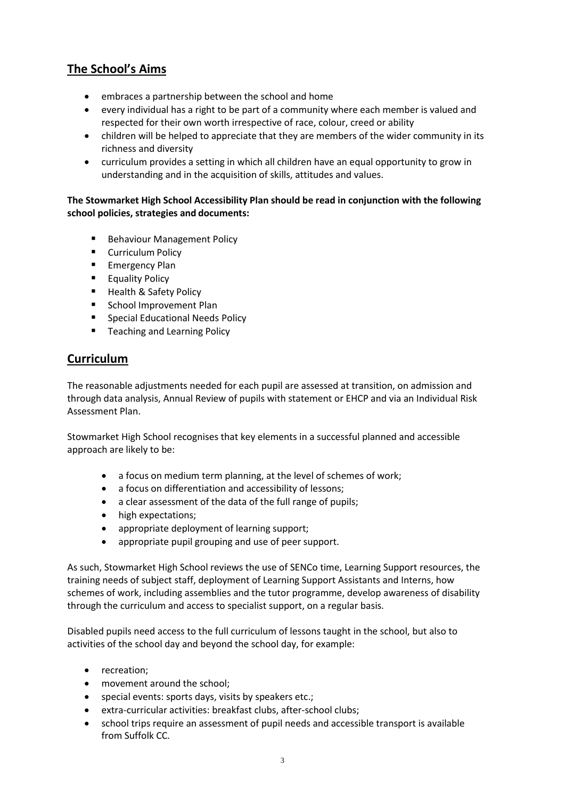### <span id="page-3-0"></span>**The School's Aims**

- embraces a partnership between the school and home
- every individual has a right to be part of a community where each member is valued and respected for their own worth irrespective of race, colour, creed or ability
- children will be helped to appreciate that they are members of the wider community in its richness and diversity
- curriculum provides a setting in which all children have an equal opportunity to grow in understanding and in the acquisition of skills, attitudes and values.

#### **The Stowmarket High School Accessibility Plan should be read in conjunction with the following school policies, strategies and documents:**

- Behaviour Management Policy
- **E** Curriculum Policy
- **Emergency Plan**
- **Equality Policy**
- **Health & Safety Policy**
- **School Improvement Plan**
- Special Educational Needs Policy
- **Teaching and Learning Policy**

#### <span id="page-3-1"></span>**Curriculum**

The reasonable adjustments needed for each pupil are assessed at transition, on admission and through data analysis, Annual Review of pupils with statement or EHCP and via an Individual Risk Assessment Plan.

Stowmarket High School recognises that key elements in a successful planned and accessible approach are likely to be:

- a focus on medium term planning, at the level of schemes of work;
- a focus on differentiation and accessibility of lessons;
- a clear assessment of the data of the full range of pupils;
- high expectations;
- appropriate deployment of learning support;
- appropriate pupil grouping and use of peer support.

As such, Stowmarket High School reviews the use of SENCo time, Learning Support resources, the training needs of subject staff, deployment of Learning Support Assistants and Interns, how schemes of work, including assemblies and the tutor programme, develop awareness of disability through the curriculum and access to specialist support, on a regular basis.

Disabled pupils need access to the full curriculum of lessons taught in the school, but also to activities of the school day and beyond the school day, for example:

- recreation;
- movement around the school;
- special events: sports days, visits by speakers etc.;
- extra-curricular activities: breakfast clubs, after-school clubs;
- school trips require an assessment of pupil needs and accessible transport is available from Suffolk CC.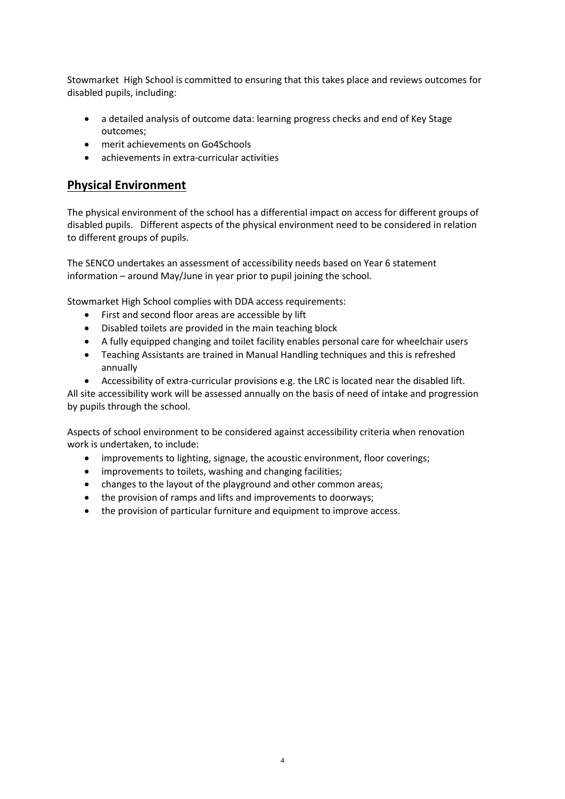Stowmarket High School is committed to ensuring that this takes place and reviews outcomes for disabled pupils, including:

- a detailed analysis of outcome data: learning progress checks and end of Key Stage outcomes;
- merit achievements on Go4Schools
- achievements in extra‐curricular activities

#### <span id="page-4-0"></span>**Physical Environment**

The physical environment of the school has a differential impact on access for different groups of disabled pupils. Different aspects of the physical environment need to be considered in relation to different groups of pupils.

The SENCO undertakes an assessment of accessibility needs based on Year 6 statement information – around May/June in year prior to pupil joining the school.

Stowmarket High School complies with DDA access requirements:

- First and second floor areas are accessible by lift
- Disabled toilets are provided in the main teaching block
- A fully equipped changing and toilet facility enables personal care for wheelchair users
- Teaching Assistants are trained in Manual Handling techniques and this is refreshed annually
- Accessibility of extra-curricular provisions e.g. the LRC is located near the disabled lift.

All site accessibility work will be assessed annually on the basis of need of intake and progression by pupils through the school.

Aspects of school environment to be considered against accessibility criteria when renovation work is undertaken, to include:

- improvements to lighting, signage, the acoustic environment, floor coverings;
- improvements to toilets, washing and changing facilities;
- changes to the layout of the playground and other common areas;
- the provision of ramps and lifts and improvements to doorways;
- the provision of particular furniture and equipment to improve access.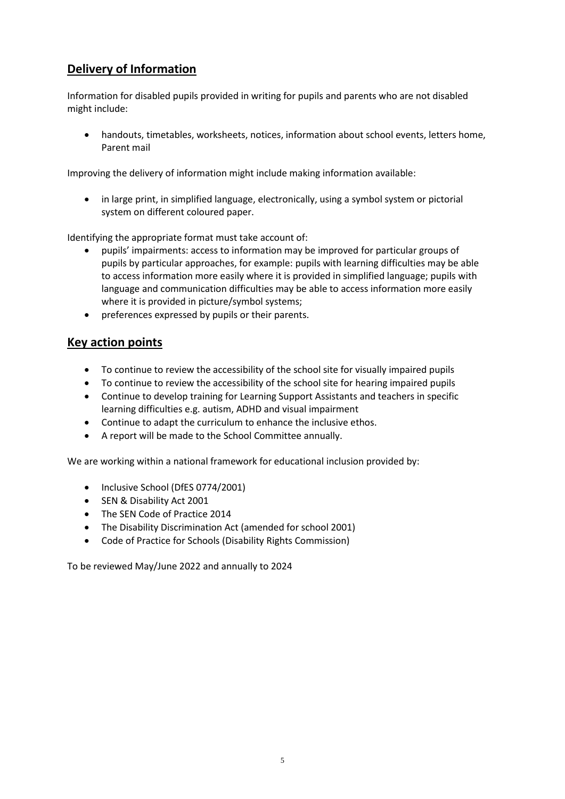# <span id="page-5-0"></span>**Delivery of Information**

Information for disabled pupils provided in writing for pupils and parents who are not disabled might include:

 handouts, timetables, worksheets, notices, information about school events, letters home, Parent mail

Improving the delivery of information might include making information available:

 in large print, in simplified language, electronically, using a symbol system or pictorial system on different coloured paper.

Identifying the appropriate format must take account of:

- pupils' impairments: access to information may be improved for particular groups of pupils by particular approaches, for example: pupils with learning difficulties may be able to access information more easily where it is provided in simplified language; pupils with language and communication difficulties may be able to access information more easily where it is provided in picture/symbol systems;
- preferences expressed by pupils or their parents.

#### <span id="page-5-1"></span>**Key action points**

- To continue to review the accessibility of the school site for visually impaired pupils
- To continue to review the accessibility of the school site for hearing impaired pupils
- Continue to develop training for Learning Support Assistants and teachers in specific learning difficulties e.g. autism, ADHD and visual impairment
- Continue to adapt the curriculum to enhance the inclusive ethos.
- A report will be made to the School Committee annually.

We are working within a national framework for educational inclusion provided by:

- Inclusive School (DfES 0774/2001)
- SEN & Disability Act 2001
- The SEN Code of Practice 2014
- The Disability Discrimination Act (amended for school 2001)
- Code of Practice for Schools (Disability Rights Commission)

To be reviewed May/June 2022 and annually to 2024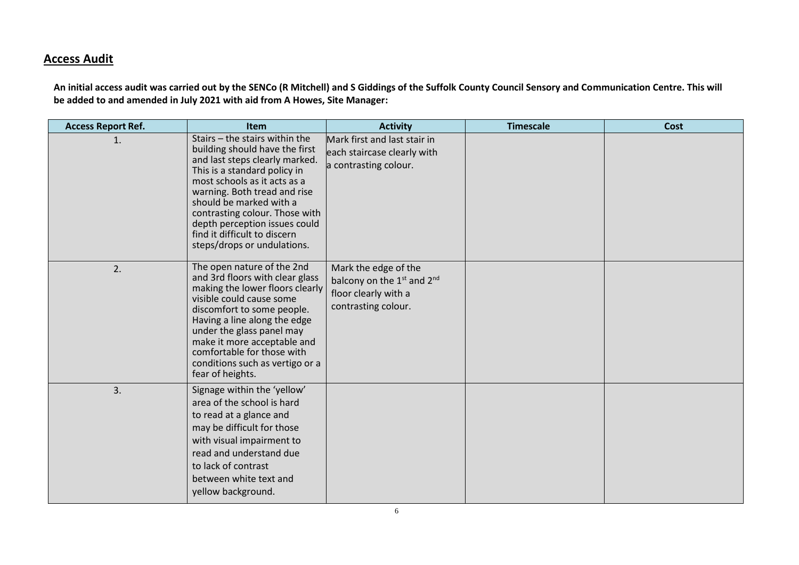### **Access Audit**

**An initial access audit was carried out by the SENCo (R Mitchell) and S Giddings of the Suffolk County Council Sensory and Communication Centre. This will be added to and amended in July 2021 with aid from A Howes, Site Manager:**

<span id="page-6-0"></span>

| <b>Access Report Ref.</b> | Item                                                                                                                                                                                                                                                                                                                                                              | <b>Activity</b>                                                                                                           | <b>Timescale</b> | <b>Cost</b> |
|---------------------------|-------------------------------------------------------------------------------------------------------------------------------------------------------------------------------------------------------------------------------------------------------------------------------------------------------------------------------------------------------------------|---------------------------------------------------------------------------------------------------------------------------|------------------|-------------|
| 1.                        | Stairs $-$ the stairs within the<br>building should have the first<br>and last steps clearly marked.<br>This is a standard policy in<br>most schools as it acts as a<br>warning. Both tread and rise<br>should be marked with a<br>contrasting colour. Those with<br>depth perception issues could<br>find it difficult to discern<br>steps/drops or undulations. | Mark first and last stair in<br>each staircase clearly with<br>a contrasting colour.                                      |                  |             |
| 2.                        | The open nature of the 2nd<br>and 3rd floors with clear glass<br>making the lower floors clearly<br>visible could cause some<br>discomfort to some people.<br>Having a line along the edge<br>under the glass panel may<br>make it more acceptable and<br>comfortable for those with<br>conditions such as vertigo or a<br>fear of heights.                       | Mark the edge of the<br>balcony on the 1 <sup>st</sup> and 2 <sup>nd</sup><br>floor clearly with a<br>contrasting colour. |                  |             |
| 3.                        | Signage within the 'yellow'<br>area of the school is hard<br>to read at a glance and<br>may be difficult for those<br>with visual impairment to<br>read and understand due<br>to lack of contrast<br>between white text and<br>yellow background.                                                                                                                 |                                                                                                                           |                  |             |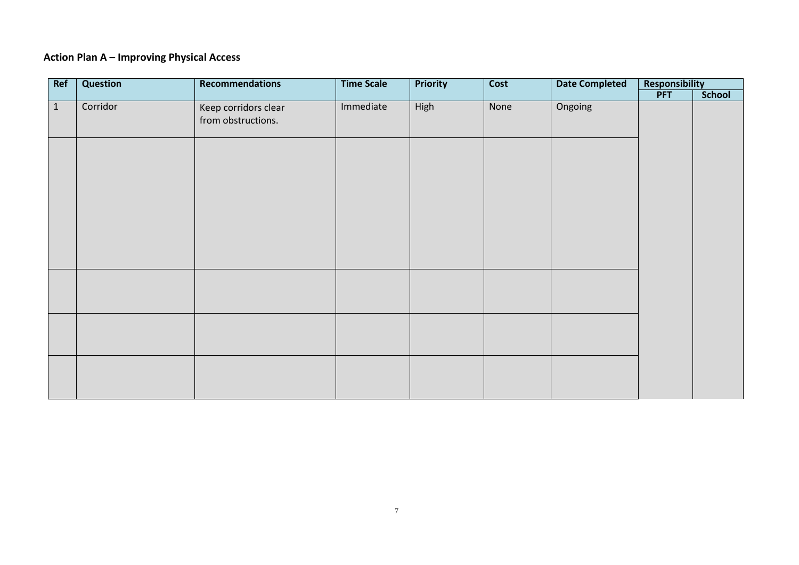# **Action Plan A – Improving Physical Access**

<span id="page-7-0"></span>

| Ref          | Question | Recommendations                            | <b>Time Scale</b> | <b>Priority</b> | Cost | <b>Date Completed</b> | Responsibility |        |
|--------------|----------|--------------------------------------------|-------------------|-----------------|------|-----------------------|----------------|--------|
|              |          |                                            |                   |                 |      |                       | <b>PFT</b>     | School |
| $\mathbf{1}$ | Corridor | Keep corridors clear<br>from obstructions. | Immediate         | High            | None | Ongoing               |                |        |
|              |          |                                            |                   |                 |      |                       |                |        |
|              |          |                                            |                   |                 |      |                       |                |        |
|              |          |                                            |                   |                 |      |                       |                |        |
|              |          |                                            |                   |                 |      |                       |                |        |
|              |          |                                            |                   |                 |      |                       |                |        |
|              |          |                                            |                   |                 |      |                       |                |        |
|              |          |                                            |                   |                 |      |                       |                |        |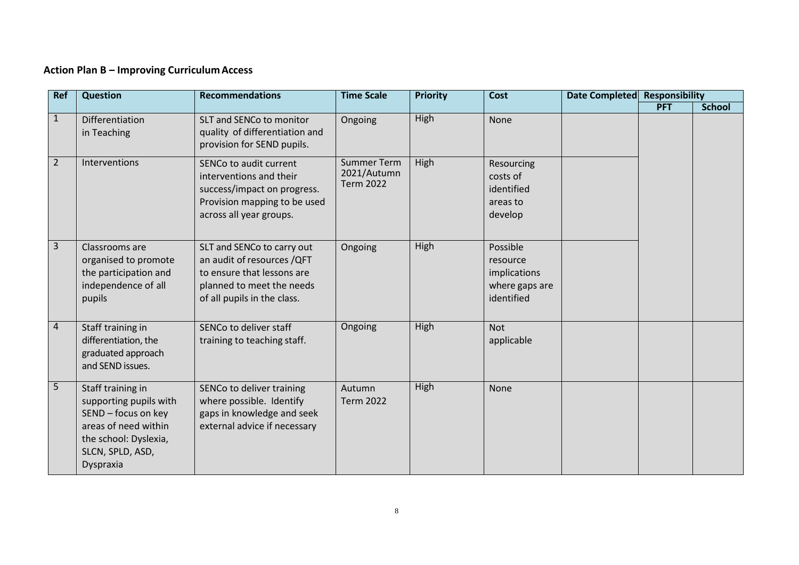# **Action Plan B – Improving CurriculumAccess**

<span id="page-8-0"></span>

| <b>Ref</b>     | <b>Question</b>                                                                                                                                      | <b>Recommendations</b>                                                                                                                             | <b>Time Scale</b>                                     | <b>Priority</b> | <b>Cost</b>                                                          | Date Completed | <b>Responsibility</b> |               |
|----------------|------------------------------------------------------------------------------------------------------------------------------------------------------|----------------------------------------------------------------------------------------------------------------------------------------------------|-------------------------------------------------------|-----------------|----------------------------------------------------------------------|----------------|-----------------------|---------------|
|                |                                                                                                                                                      |                                                                                                                                                    |                                                       |                 |                                                                      |                | <b>PFT</b>            | <b>School</b> |
| $\mathbf{1}$   | <b>Differentiation</b><br>in Teaching                                                                                                                | SLT and SENCo to monitor<br>quality of differentiation and<br>provision for SEND pupils.                                                           | Ongoing                                               | High            | None                                                                 |                |                       |               |
| $\overline{2}$ | Interventions                                                                                                                                        | SENCo to audit current<br>interventions and their<br>success/impact on progress.<br>Provision mapping to be used<br>across all year groups.        | <b>Summer Term</b><br>2021/Autumn<br><b>Term 2022</b> | High            | Resourcing<br>costs of<br>identified<br>areas to<br>develop          |                |                       |               |
| 3              | Classrooms are<br>organised to promote<br>the participation and<br>independence of all<br>pupils                                                     | SLT and SENCo to carry out<br>an audit of resources /QFT<br>to ensure that lessons are<br>planned to meet the needs<br>of all pupils in the class. | Ongoing                                               | High            | Possible<br>resource<br>implications<br>where gaps are<br>identified |                |                       |               |
| 4              | Staff training in<br>differentiation, the<br>graduated approach<br>and SEND issues.                                                                  | SENCo to deliver staff<br>training to teaching staff.                                                                                              | Ongoing                                               | High            | <b>Not</b><br>applicable                                             |                |                       |               |
| 5              | Staff training in<br>supporting pupils with<br>SEND - focus on key<br>areas of need within<br>the school: Dyslexia,<br>SLCN, SPLD, ASD,<br>Dyspraxia | SENCo to deliver training<br>where possible. Identify<br>gaps in knowledge and seek<br>external advice if necessary                                | Autumn<br><b>Term 2022</b>                            | High            | None                                                                 |                |                       |               |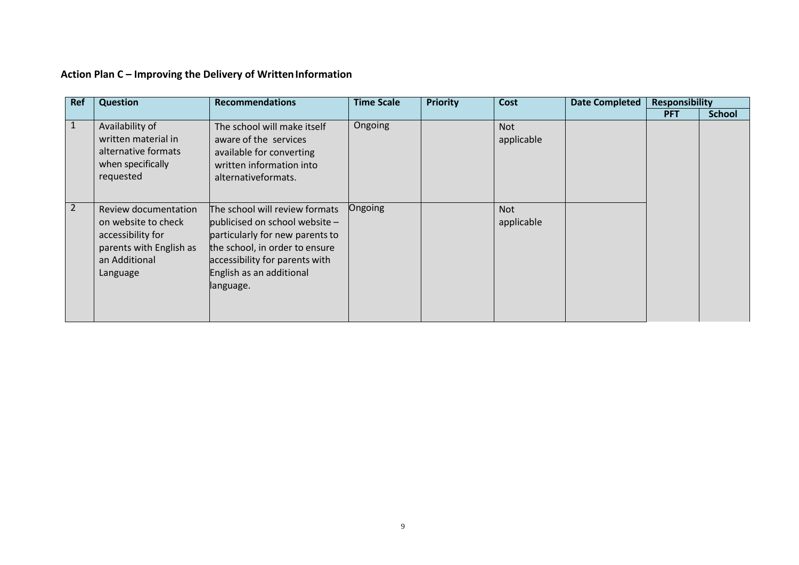<span id="page-9-0"></span>

| <b>Ref</b> | <b>Question</b>                                                                                                          | <b>Recommendations</b>                                                                                                                                                                                             | <b>Time Scale</b> | <b>Priority</b> | Cost                     | <b>Date Completed</b> | <b>Responsibility</b> |               |
|------------|--------------------------------------------------------------------------------------------------------------------------|--------------------------------------------------------------------------------------------------------------------------------------------------------------------------------------------------------------------|-------------------|-----------------|--------------------------|-----------------------|-----------------------|---------------|
|            |                                                                                                                          |                                                                                                                                                                                                                    |                   |                 |                          |                       | <b>PFT</b>            | <b>School</b> |
| 1          | Availability of<br>written material in<br>alternative formats<br>when specifically<br>requested                          | The school will make itself<br>aware of the services<br>available for converting<br>written information into<br>alternativeformats.                                                                                | Ongoing           |                 | <b>Not</b><br>applicable |                       |                       |               |
| 2          | Review documentation<br>on website to check<br>accessibility for<br>parents with English as<br>an Additional<br>Language | The school will review formats<br>publicised on school website $-$<br>particularly for new parents to<br>the school, in order to ensure<br>accessibility for parents with<br>English as an additional<br>language. | Ongoing           |                 | <b>Not</b><br>applicable |                       |                       |               |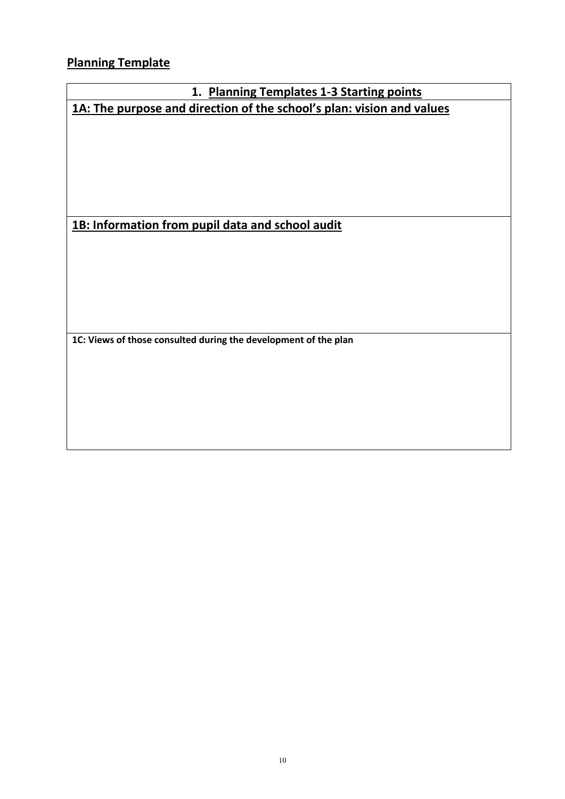<span id="page-10-0"></span>**Planning Template**

# **1. Planning Templates 1-3 Starting points 1A: The purpose and direction of the school's plan: vision and values**

**1B: Information from pupil data and school audit** 

**1C: Views of those consulted during the development of the plan**